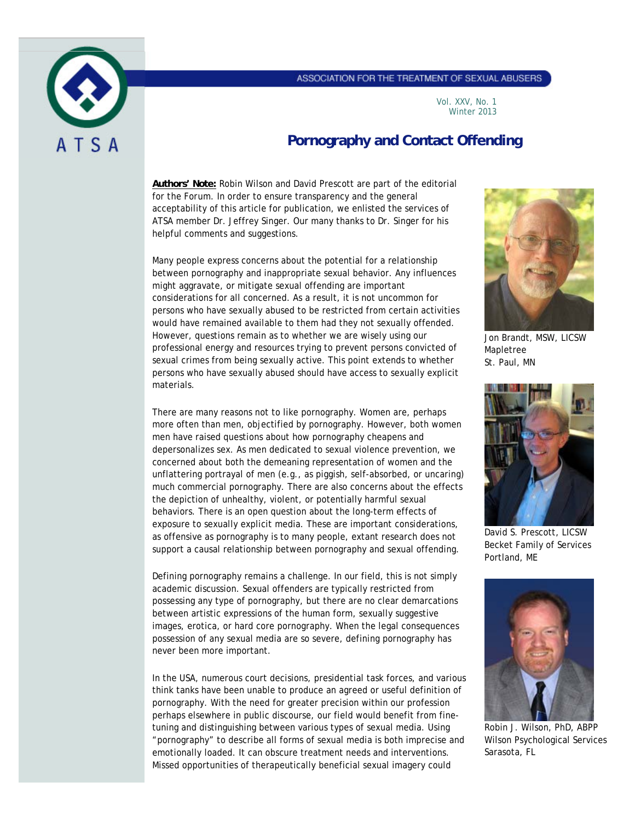### ASSOCIATION FOR THE TREATMENT OF SEXUAL ABUSERS



### Vol. XXV, No. 1 Winter 2013

# **Pornography and Contact Offending**

**Authors' Note:** Robin Wilson and David Prescott are part of the editorial for *the Forum*. In order to ensure transparency and the general acceptability of this article for publication, we enlisted the services of ATSA member Dr. Jeffrey Singer. Our many thanks to Dr. Singer for his helpful comments and suggestions.

Many people express concerns about the potential for a relationship between pornography and inappropriate sexual behavior. Any influences might aggravate, or mitigate sexual offending are important considerations for all concerned. As a result, it is not uncommon for persons who have sexually abused to be restricted from certain activities would have remained available to them had they not sexually offended. However, questions remain as to whether we are wisely using our professional energy and resources trying to prevent persons convicted of sexual crimes from being sexually active. This point extends to whether persons who have sexually abused should have access to sexually explicit materials.

There are many reasons not to like pornography. Women are, perhaps more often than men, objectified by pornography. However, both women men have raised questions about how pornography cheapens and depersonalizes sex. As men dedicated to sexual violence prevention, we concerned about both the demeaning representation of women and the unflattering portrayal of men (e.g., as piggish, self-absorbed, or uncaring) much commercial pornography. There are also concerns about the effects the depiction of unhealthy, violent, or potentially harmful sexual behaviors. There is an open question about the long-term effects of exposure to sexually explicit media. These are important considerations, as offensive as pornography is to many people, extant research does not support a causal relationship between pornography and sexual offending.

Defining pornography remains a challenge. In our field, this is not simply academic discussion. Sexual offenders are typically restricted from possessing any type of pornography, but there are no clear demarcations between artistic expressions of the human form, sexually suggestive images, erotica, or hard core pornography. When the legal consequences possession of any sexual media are so severe, defining pornography has never been more important.

In the USA, numerous court decisions, presidential task forces, and various think tanks have been unable to produce an agreed or useful definition of pornography. With the need for greater precision within our profession perhaps elsewhere in public discourse, our field would benefit from finetuning and distinguishing between various types of sexual media. Using "pornography" to describe all forms of sexual media is both imprecise and emotionally loaded. It can obscure treatment needs and interventions. Missed opportunities of therapeutically beneficial sexual imagery could



Jon Brandt, MSW, LICSW Mapletree St. Paul, MN



David S. Prescott, LICSW Becket Family of Services Portland, ME



Robin J. Wilson, PhD, ABPP Wilson Psychological Services Sarasota, FL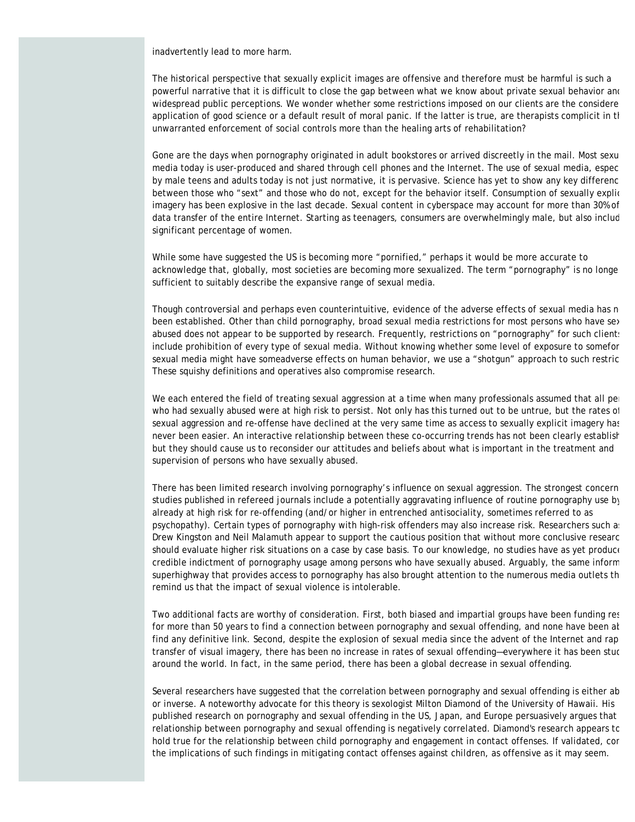inadvertently lead to more harm.

The historical perspective that sexually explicit images are offensive and therefore must be harmful is such a powerful narrative that it is difficult to close the gap between what we know about private sexual behavior and widespread public perceptions. We wonder whether some restrictions imposed on our clients are the considere application of good science or a default result of moral panic. If the latter is true, are therapists complicit in th unwarranted enforcement of social controls more than the healing arts of rehabilitation?

Gone are the days when pornography originated in adult bookstores or arrived discreetly in the mail. Most sexu media today is user-produced and shared through cell phones and the Internet. The use of sexual media, espec by male teens and adults today is not just normative, it is pervasive. Science has yet to show any key differenc between those who "sext" and those who do not, except for the behavior itself. Consumption of sexually explic imagery has been explosive in the last decade. Sexual content in cyberspace may account for more than 30% of data transfer of the entire Internet. Starting as teenagers, consumers are overwhelmingly male, but also includ significant percentage of women.

While some have suggested the US is becoming more "pornified," perhaps it would be more accurate to acknowledge that, globally, most societies are becoming more sexualized. The term "pornography" is no longe sufficient to suitably describe the expansive range of sexual media.

Though controversial and perhaps even counterintuitive, evidence of the adverse effects of sexual media has n been established. Other than child pornography, broad sexual media restrictions for most persons who have sex abused does not appear to be supported by research. Frequently, restrictions on "pornography" for such clients include prohibition of every type of sexual media. Without knowing whether *some* level of exposure to *some*for sexual media might have *some*adverse effects on human behavior, we use a "shotgun" approach to such restric These squishy definitions and operatives also compromise research.

We each entered the field of treating sexual aggression at a time when many professionals assumed that all per who had sexually abused were at high risk to persist. Not only has this turned out to be untrue, but the rates of sexual aggression and re-offense have declined at the very same time as access to sexually explicit imagery has never been easier. An interactive relationship between these co-occurring trends has not been clearly establish but they should cause us to reconsider our attitudes and beliefs about what is important in the treatment and supervision of persons who have sexually abused.

There has been limited research involving pornography's influence on sexual aggression. The strongest concern studies published in refereed journals include a potentially aggravating influence of routine pornography use by already at high risk for re-offending (and/or higher in entrenched antisociality, sometimes referred to as psychopathy). Certain types of pornography with high-risk offenders may also increase risk. Researchers such a Drew Kingston and Neil Malamuth appear to support the cautious position that without more conclusive researc should evaluate higher risk situations on a case by case basis. To our knowledge, no studies have as yet produce credible indictment of pornography usage among persons who have sexually abused. Arguably, the same inform superhighway that provides access to pornography has also brought attention to the numerous media outlets th remind us that the impact of sexual violence is intolerable.

Two additional facts are worthy of consideration. First, both biased and impartial groups have been funding res for more than 50 years to find a connection between pornography and sexual offending, and none have been at find any definitive link. Second, despite the explosion of sexual media since the advent of the Internet and rap transfer of visual imagery, there has been no increase in rates of sexual offending—everywhere it has been stud around the world. In fact, in the same period, there has been a global decrease in sexual offending.

Several researchers have suggested that the correlation between pornography and sexual offending is either ab or inverse. A noteworthy advocate for this theory is sexologist Milton Diamond of the University of Hawaii. His published research on pornography and sexual offending in the US, Japan, and Europe persuasively argues that relationship between pornography and sexual offending is negatively correlated. Diamond's research appears to hold true for the relationship between child pornography and engagement in contact offenses. If validated, con the implications of such findings in mitigating contact offenses against children, as offensive as it may seem.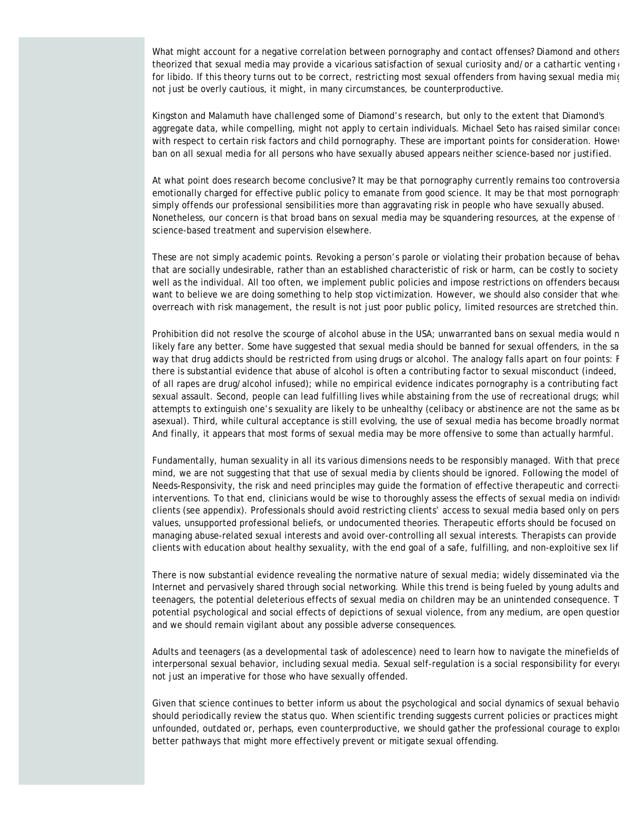What might account for a negative correlation between pornography and contact offenses? Diamond and others theorized that sexual media may provide a vicarious satisfaction of sexual curiosity and/or a cathartic venting for libido. If this theory turns out to be correct, restricting most sexual offenders from having sexual media mig not just be overly cautious, it might, in many circumstances, be counterproductive.

Kingston and Malamuth have challenged some of Diamond's research, but only to the extent that Diamond's aggregate data, while compelling, might not apply to certain individuals. Michael Seto has raised similar concer with respect to certain risk factors and child pornography. These are important points for consideration. Howev ban on all sexual media for all persons who have sexually abused appears neither science-based nor justified.

At what point does research become conclusive? It may be that pornography currently remains too controversia emotionally charged for effective public policy to emanate from good science. It may be that most pornograph simply offends our professional sensibilities more than aggravating risk in people who have sexually abused. Nonetheless, our concern is that broad bans on sexual media may be squandering resources, at the expense of science-based treatment and supervision elsewhere.

These are not simply academic points. Revoking a person's parole or violating their probation because of behav that are socially undesirable, rather than an established characteristic of risk or harm, can be costly to society well as the individual. All too often, we implement public policies and impose restrictions on offenders because want to believe we are doing something to help stop victimization. However, we should also consider that when overreach with risk management, the result is not just poor public policy, limited resources are stretched thin.

Prohibition did not resolve the scourge of alcohol abuse in the USA; unwarranted bans on sexual media would n likely fare any better. Some have suggested that sexual media should be banned for sexual offenders, in the sa way that drug addicts should be restricted from using drugs or alcohol. The analogy falls apart on four points: F there is substantial evidence that abuse of alcohol is often a contributing factor to sexual misconduct (indeed, of all rapes are drug/alcohol infused); while no empirical evidence indicates pornography is a contributing fact sexual assault. Second, people can lead fulfilling lives while abstaining from the use of recreational drugs; whil attempts to extinguish one's sexuality are likely to be unhealthy (celibacy or abstinence are not the same as be asexual). Third, while cultural acceptance is still evolving, the use of sexual media has become broadly normat And finally, it appears that most forms of sexual media may be more offensive to some than actually harmful.

Fundamentally, human sexuality in all its various dimensions needs to be responsibly managed. With that prece mind, we are not suggesting that that use of sexual media by clients should be ignored. Following the model of Needs-Responsivity, the risk and need principles may guide the formation of effective therapeutic and correction interventions. To that end, clinicians would be wise to thoroughly assess the effects of sexual media on individu clients (see appendix). Professionals should avoid restricting clients' access to sexual media based only on pers values, unsupported professional beliefs, or undocumented theories. Therapeutic efforts should be focused on managing abuse-related sexual interests and avoid over-controlling all sexual interests. Therapists can provide clients with education about healthy sexuality, with the end goal of a safe, fulfilling, and non-exploitive sex lif

There is now substantial evidence revealing the normative nature of sexual media; widely disseminated via the Internet and pervasively shared through social networking. While this trend is being fueled by young adults and teenagers, the potential deleterious effects of sexual media on children may be an unintended consequence. T potential psychological and social effects of depictions of sexual violence, from any medium, are open question and we should remain vigilant about any possible adverse consequences.

Adults and teenagers (as a developmental task of adolescence) need to learn how to navigate the minefields of interpersonal sexual behavior, including sexual media. Sexual self-regulation is a social responsibility for everyo not just an imperative for those who have sexually offended.

Given that science continues to better inform us about the psychological and social dynamics of sexual behavio should periodically review the *status quo*. When scientific trending suggests current policies or practices might unfounded, outdated or, perhaps, even counterproductive, we should gather the professional courage to explor better pathways that might more effectively prevent or mitigate sexual offending.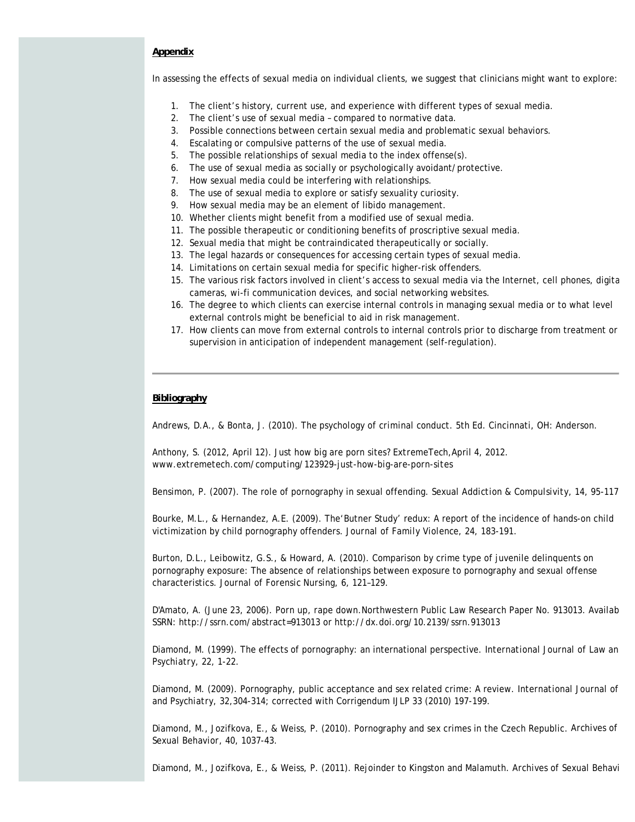## **Appendix**

In assessing the effects of sexual media on individual clients, we suggest that clinicians might want to explore:

- 1. The client's history, current use, and experience with different types of sexual media.
- 2. The client's use of sexual media compared to normative data.
- 3. Possible connections between certain sexual media and problematic sexual behaviors.
- 4. Escalating or compulsive patterns of the use of sexual media.
- 5. The possible relationships of sexual media to the index offense(s).
- 6. The use of sexual media as socially or psychologically avoidant/protective.
- 7. How sexual media could be interfering with relationships.
- 8. The use of sexual media to explore or satisfy sexuality curiosity.
- 9. How sexual media may be an element of libido management.
- 10. Whether clients might benefit from a modified use of sexual media.
- 11. The possible therapeutic or conditioning benefits of proscriptive sexual media.
- 12. Sexual media that might be contraindicated therapeutically or socially.
- 13. The legal hazards or consequences for accessing certain types of sexual media.
- 14. Limitations on certain sexual media for specific higher-risk offenders.
- 15. The various risk factors involved in client's access to sexual media via the Internet, cell phones, digita cameras, wi-fi communication devices, and social networking websites.
- 16. The degree to which clients can exercise internal controls in managing sexual media or to what level external controls might be beneficial to aid in risk management.
- 17. How clients can move from external controls to internal controls prior to discharge from treatment or supervision in anticipation of independent management (self-regulation).

### **Bibliography**

Andrews, D.A., & Bonta, J. (2010). *The psychology of criminal conduct.* 5th Ed. Cincinnati, OH: Anderson.

Anthony, S. (2012, April 12). Just how big are porn sites? *ExtremeTech,*April 4, 2012. *www.extremetech.com/computing/123929-just-how-big-are-porn-sites*

Bensimon, P. (2007). The role of pornography in sexual offending. *Sexual Addiction & Compulsivity, 14,* 95-117

Bourke, M.L., & Hernandez, A.E. (2009). The'Butner Study' redux: A report of the incidence of hands-on child victimization by child pornography offenders. *Journal of Family Violence, 24,* 183-191.

Burton, D.L., Leibowitz, G.S., & Howard, A. (2010). Comparison by crime type of juvenile delinquents on pornography exposure: The absence of relationships between exposure to pornography and sexual offense characteristics. *Journal of Forensic Nursing, 6,* 121–129.

D'Amato, A. (June 23, 2006). *Porn up, rape down.*Northwestern Public Law Research Paper No. 913013. Availab SSRN: http://ssrn.com/abstract=913013 or http://dx.doi.org/10.2139/ssrn.913013

Diamond, M. (1999). The effects of pornography: an international perspective. *International Journal of Law an Psychiatry, 22,* 1-22.

Diamond, M. (2009). Pornography, public acceptance and sex related crime: A review. *International Journal of and Psychiatry, 32,*304-314; corrected with Corrigendum *IJLP 33* (2010) 197-199.

Diamond, M., Jozifkova, E., & Weiss, P. (2010). Pornography and sex crimes in the Czech Republic. *Archives of Sexual Behavior, 40,* 1037-43.

Diamond, M., Jozifkova, E., & Weiss, P. (2011). Rejoinder to Kingston and Malamuth. *Archives of Sexual Behavi*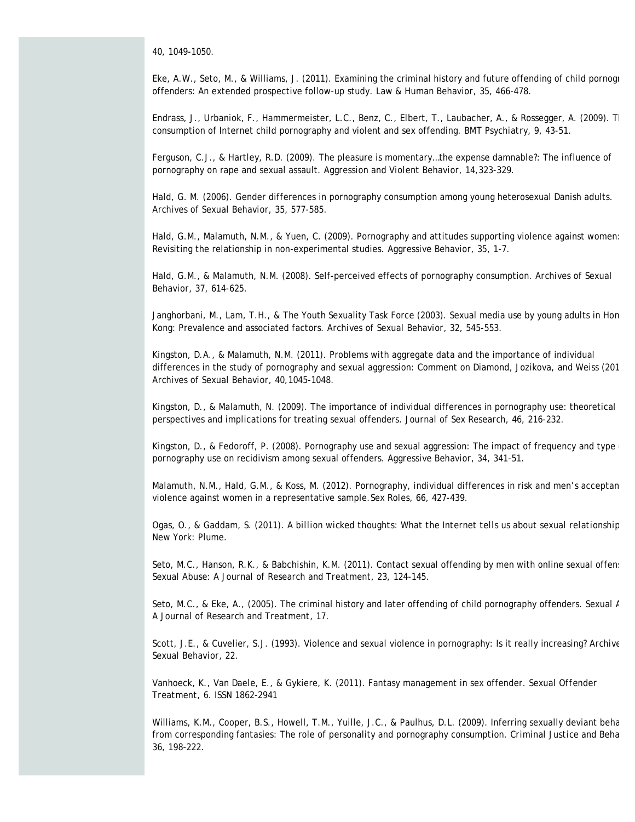*40,* 1049-1050.

Eke, A.W., Seto, M., & Williams, J. (2011). Examining the criminal history and future offending of child pornogr offenders: An extended prospective follow-up study. *Law & Human Behavior, 35,* 466-478.

Endrass, J., Urbaniok, F., Hammermeister, L.C., Benz, C., Elbert, T., Laubacher, A., & Rossegger, A. (2009). Th consumption of Internet child pornography and violent and sex offending. *BMT Psychiatry, 9*, 43-51.

Ferguson, C.J., & Hartley, R.D. (2009). The pleasure is momentary…the expense damnable?: The influence of pornography on rape and sexual assault. *Aggression and Violent Behavior, 14,*323-329.

Hald, G. M. (2006). Gender differences in pornography consumption among young heterosexual Danish adults. *Archives of Sexual Behavior*, *35,* 577-585.

Hald, G.M., Malamuth, N.M., & Yuen, C. (2009). Pornography and attitudes supporting violence against women: Revisiting the relationship in non-experimental studies. *Aggressive Behavior, 35*, 1-7.

Hald, G.M., & Malamuth, N.M. (2008). Self-perceived effects of pornography consumption. *Archives of Sexual Behavior, 37,* 614-625.

Janghorbani, M., Lam, T.H., & The Youth Sexuality Task Force (2003). Sexual media use by young adults in Hon Kong: Prevalence and associated factors. *Archives of Sexual Behavior, 32,* 545-553.

Kingston, D.A., & Malamuth, N.M. (2011). Problems with aggregate data and the importance of individual differences in the study of pornography and sexual aggression: Comment on Diamond, Jozikova, and Weiss (201 *Archives of Sexual Behavior, 40,*1045-1048.

Kingston, D., & Malamuth, N. (2009). The importance of individual differences in pornography use: theoretical perspectives and implications for treating sexual offenders. *Journal of Sex Research, 46,* 216-232.

Kingston, D., & Fedoroff, P. (2008). Pornography use and sexual aggression: The impact of frequency and type pornography use on recidivism among sexual offenders. *Aggressive Behavior, 34,* 341-51.

Malamuth, N.M., Hald, G.M., & Koss, M. (2012). Pornography, individual differences in risk and men's acceptan violence against women in a representative sample.*Sex Roles*, *66,* 427-439.

Ogas, O., & Gaddam, S. (2011). *A billion wicked thoughts: What the Internet tells us about sexual relationship* New York: Plume.

Seto, M.C., Hanson, R.K., & Babchishin, K.M. (2011). Contact sexual offending by men with online sexual offen: *Sexual Abuse: A Journal of Research and Treatment, 23,* 124-145.

Seto, M.C., & Eke, A., (2005). The criminal history and later offending of child pornography offenders. *Sexual A A Journal of Research and Treatment*, *17.*

Scott, J.E., & Cuvelier, S.J. (1993). Violence and sexual violence in pornography: Is it really increasing? *Archive Sexual Behavior, 22.*

Vanhoeck, K., Van Daele, E., & Gykiere, K. (2011). Fantasy management in sex offender. *Sexual Offender Treatment*, *6.* ISSN 1862-2941

Williams, K.M., Cooper, B.S., Howell, T.M., Yuille, J.C., & Paulhus, D.L. (2009). Inferring sexually deviant beha from corresponding fantasies: The role of personality and pornography consumption. *Criminal Justice and Beha 36,* 198-222.